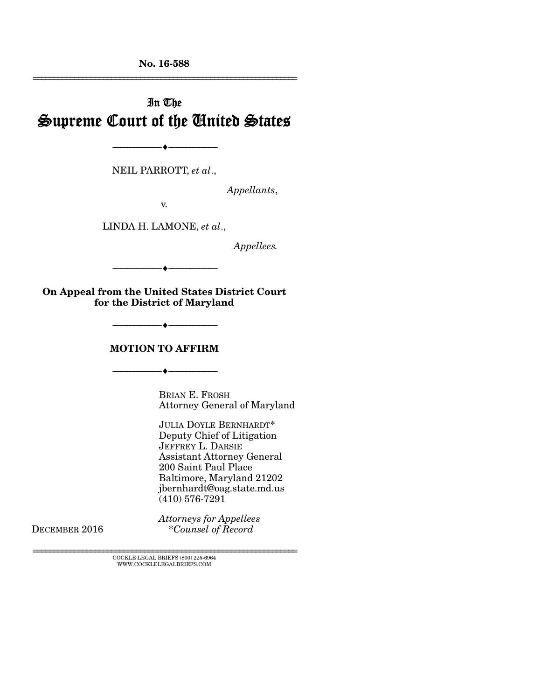No. 16-588 ================================================================

# In The Supreme Court of the United States

NEIL PARROTT, *et al*.,

--------------------------------- ---------------------------------

*Appellants*,

v.

LINDA H. LAMONE, *et al*.,

*Appellees.* 

On Appeal from the United States District Court for the District of Maryland

--------------------------------- ---------------------------------

--------------------------------- ---------------------------------

#### MOTION TO AFFIRM

--------------------------------- ---------------------------------

BRIAN E. FROSH Attorney General of Maryland

JULIA DOYLE BERNHARDT\* Deputy Chief of Litigation JEFFREY L. DARSIE Assistant Attorney General 200 Saint Paul Place Baltimore, Maryland 21202 jbernhardt@oag.state.md.us (410) 576-7291

*Attorneys for Appellees*<br>DECEMBER 2016 **Example 1** \*Counsel of Record DECEMBER 2016 \**Counsel of Record*

> ${\rm COCKLE}$ LEGAL BRIEFS (800) 225-6964 WWW.COCKLELEGALBRIEFS.COM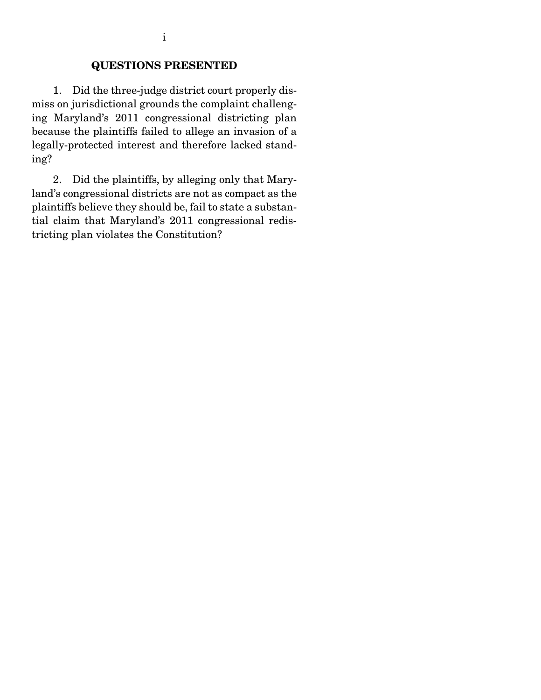## QUESTIONS PRESENTED

 1. Did the three-judge district court properly dismiss on jurisdictional grounds the complaint challenging Maryland's 2011 congressional districting plan because the plaintiffs failed to allege an invasion of a legally-protected interest and therefore lacked standing?

 2. Did the plaintiffs, by alleging only that Maryland's congressional districts are not as compact as the plaintiffs believe they should be, fail to state a substantial claim that Maryland's 2011 congressional redistricting plan violates the Constitution?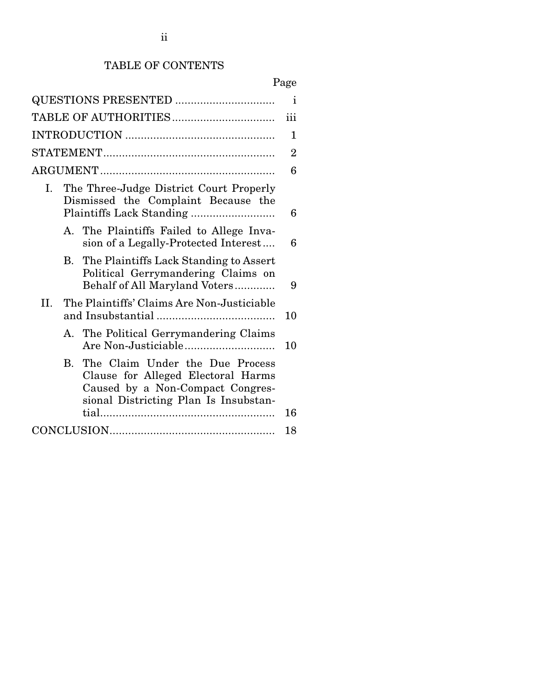# TABLE OF CONTENTS

# Page

| QUESTIONS PRESENTED                                                                                                                                                |                |  |
|--------------------------------------------------------------------------------------------------------------------------------------------------------------------|----------------|--|
| iii                                                                                                                                                                |                |  |
|                                                                                                                                                                    | 1              |  |
|                                                                                                                                                                    | $\overline{2}$ |  |
|                                                                                                                                                                    | 6              |  |
| The Three-Judge District Court Properly<br>Ι.<br>Dismissed the Complaint Because the                                                                               |                |  |
| A. The Plaintiffs Failed to Allege Inva-<br>sion of a Legally-Protected Interest                                                                                   | 6              |  |
| B. The Plaintiffs Lack Standing to Assert<br>Political Gerrymandering Claims on<br>Behalf of All Maryland Voters                                                   | 9              |  |
| The Plaintiffs' Claims Are Non-Justiciable<br>II.                                                                                                                  | 10             |  |
| A. The Political Gerrymandering Claims                                                                                                                             | 10             |  |
| The Claim Under the Due Process<br>$\mathbf{B}$<br>Clause for Alleged Electoral Harms<br>Caused by a Non-Compact Congres-<br>sional Districting Plan Is Insubstan- | 16             |  |
|                                                                                                                                                                    | 18             |  |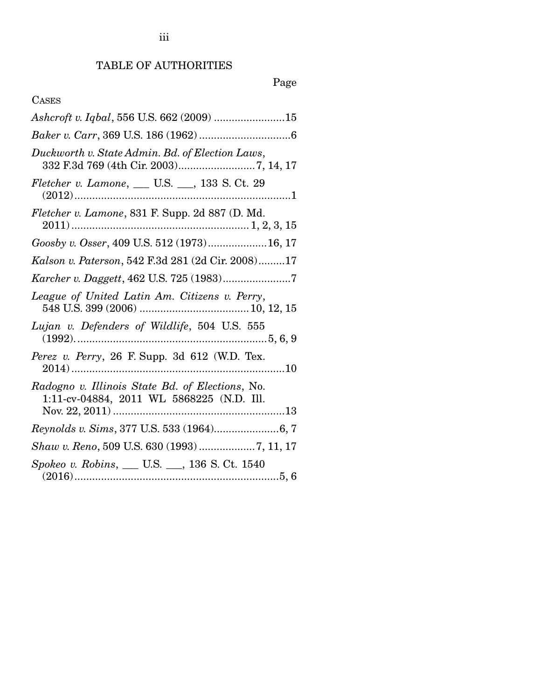iii

# Page

## CASES

| Ashcroft v. Iqbal, 556 U.S. 662 (2009) 15                                                    |
|----------------------------------------------------------------------------------------------|
|                                                                                              |
| Duckworth v. State Admin. Bd. of Election Laws,                                              |
| Fletcher v. Lamone, __ U.S. __, 133 S. Ct. 29                                                |
| Fletcher v. Lamone, 831 F. Supp. 2d 887 (D. Md.                                              |
| Goosby v. Osser, 409 U.S. 512 (1973)16, 17                                                   |
| Kalson v. Paterson, 542 F.3d 281 (2d Cir. 2008)17                                            |
| Karcher v. Daggett, 462 U.S. 725 (1983)7                                                     |
| League of United Latin Am. Citizens v. Perry,                                                |
| Lujan v. Defenders of Wildlife, 504 U.S. 555                                                 |
| Perez v. Perry, 26 F. Supp. 3d 612 (W.D. Tex.                                                |
| Radogno v. Illinois State Bd. of Elections, No.<br>1:11-cv-04884, 2011 WL 5868225 (N.D. Ill. |
|                                                                                              |
| Shaw v. Reno, 509 U.S. 630 (1993) 7, 11, 17                                                  |
| Spokeo v. Robins, __ U.S. __, 136 S. Ct. 1540                                                |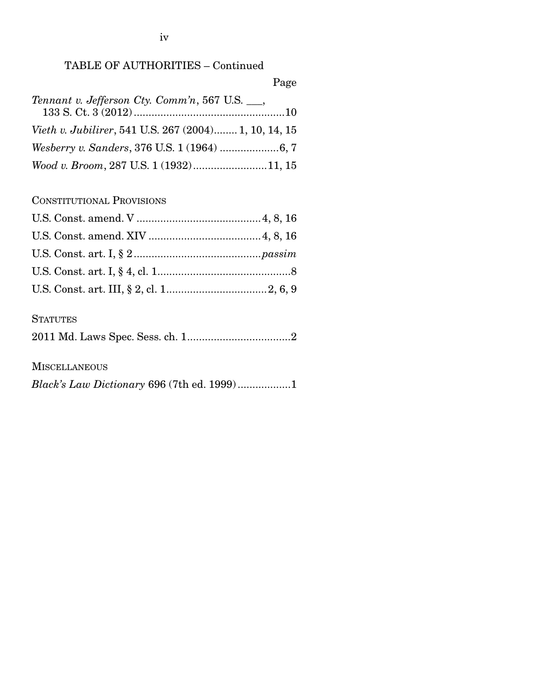## TABLE OF AUTHORITIES – Continued

Page

| Tennant v. Jefferson Cty. Comm'n, 567 U.S. ___,       |  |
|-------------------------------------------------------|--|
|                                                       |  |
| Vieth v. Jubilirer, 541 U.S. 267 (2004) 1, 10, 14, 15 |  |
|                                                       |  |
| Wood v. Broom, 287 U.S. 1 (1932)11, 15                |  |

CONSTITUTIONAL PROVISIONS

## **STATUTES**

|--|--|--|

**MISCELLANEOUS** 

*Black's Law Dictionary* 696 (7th ed. 1999) .................. 1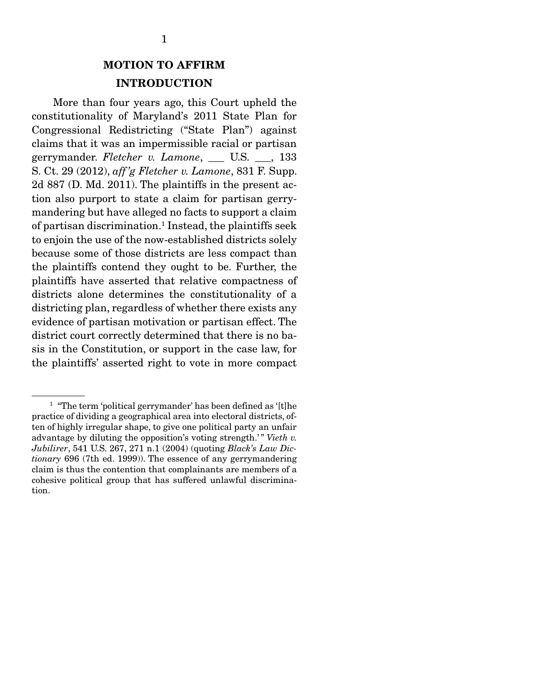## MOTION TO AFFIRM INTRODUCTION

 More than four years ago, this Court upheld the constitutionality of Maryland's 2011 State Plan for Congressional Redistricting ("State Plan") against claims that it was an impermissible racial or partisan gerrymander. *Fletcher v. Lamone*, \_\_\_ U.S. \_\_\_, 133 S. Ct. 29 (2012), *aff 'g Fletcher v. Lamone*, 831 F. Supp. 2d 887 (D. Md. 2011). The plaintiffs in the present action also purport to state a claim for partisan gerrymandering but have alleged no facts to support a claim of partisan discrimination.<sup>1</sup> Instead, the plaintiffs seek to enjoin the use of the now-established districts solely because some of those districts are less compact than the plaintiffs contend they ought to be. Further, the plaintiffs have asserted that relative compactness of districts alone determines the constitutionality of a districting plan, regardless of whether there exists any evidence of partisan motivation or partisan effect. The district court correctly determined that there is no basis in the Constitution, or support in the case law, for the plaintiffs' asserted right to vote in more compact

<sup>&</sup>lt;sup>1</sup> "The term 'political gerrymander' has been defined as '[t]he practice of dividing a geographical area into electoral districts, often of highly irregular shape, to give one political party an unfair advantage by diluting the opposition's voting strength.'" Vieth v. *Jubilirer*, 541 U.S. 267, 271 n.1 (2004) (quoting *Black's Law Dictionary* 696 (7th ed. 1999)). The essence of any gerrymandering claim is thus the contention that complainants are members of a cohesive political group that has suffered unlawful discrimination.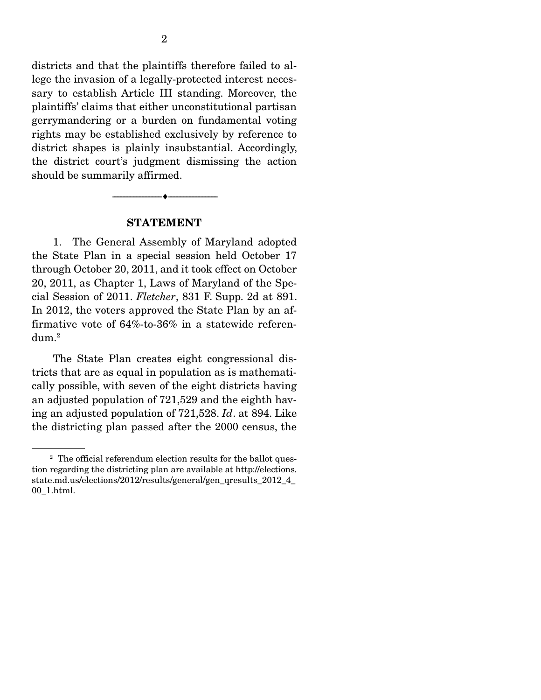districts and that the plaintiffs therefore failed to allege the invasion of a legally-protected interest necessary to establish Article III standing. Moreover, the plaintiffs' claims that either unconstitutional partisan gerrymandering or a burden on fundamental voting rights may be established exclusively by reference to district shapes is plainly insubstantial. Accordingly, the district court's judgment dismissing the action should be summarily affirmed.

#### STATEMENT

 $-\bullet-\$ 

 1. The General Assembly of Maryland adopted the State Plan in a special session held October 17 through October 20, 2011, and it took effect on October 20, 2011, as Chapter 1, Laws of Maryland of the Special Session of 2011. *Fletcher*, 831 F. Supp. 2d at 891. In 2012, the voters approved the State Plan by an affirmative vote of 64%-to-36% in a statewide referen- ${\rm dum.^2}$ 

 The State Plan creates eight congressional districts that are as equal in population as is mathematically possible, with seven of the eight districts having an adjusted population of 721,529 and the eighth having an adjusted population of 721,528. *Id*. at 894. Like the districting plan passed after the 2000 census, the

<sup>&</sup>lt;sup>2</sup> The official referendum election results for the ballot question regarding the districting plan are available at http://elections. state.md.us/elections/2012/results/general/gen\_qresults\_2012\_4\_ 00\_1.html.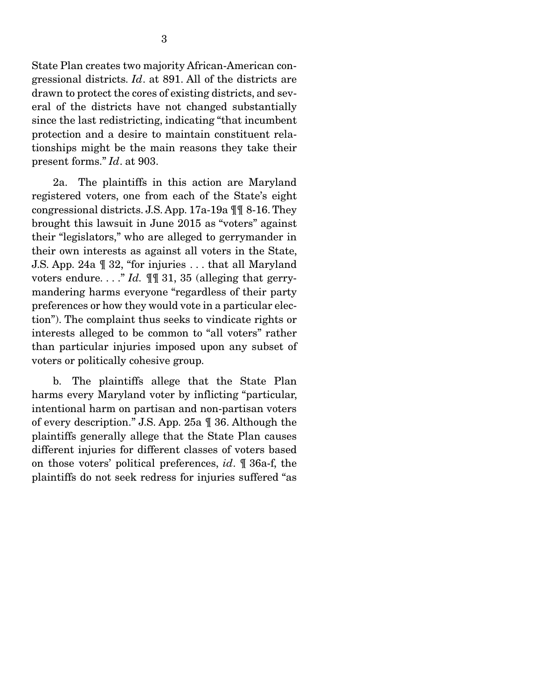State Plan creates two majority African-American congressional districts. *Id*. at 891. All of the districts are drawn to protect the cores of existing districts, and several of the districts have not changed substantially since the last redistricting, indicating "that incumbent protection and a desire to maintain constituent relationships might be the main reasons they take their present forms." *Id*. at 903.

 2a. The plaintiffs in this action are Maryland registered voters, one from each of the State's eight congressional districts. J.S. App. 17a-19a ¶¶ 8-16. They brought this lawsuit in June 2015 as "voters" against their "legislators," who are alleged to gerrymander in their own interests as against all voters in the State, J.S. App. 24a ¶ 32, "for injuries . . . that all Maryland voters endure. . . ." *Id.* ¶¶ 31, 35 (alleging that gerrymandering harms everyone "regardless of their party preferences or how they would vote in a particular election"). The complaint thus seeks to vindicate rights or interests alleged to be common to "all voters" rather than particular injuries imposed upon any subset of voters or politically cohesive group.

 b. The plaintiffs allege that the State Plan harms every Maryland voter by inflicting "particular, intentional harm on partisan and non-partisan voters of every description." J.S. App. 25a ¶ 36. Although the plaintiffs generally allege that the State Plan causes different injuries for different classes of voters based on those voters' political preferences, *id*. ¶ 36a-f, the plaintiffs do not seek redress for injuries suffered "as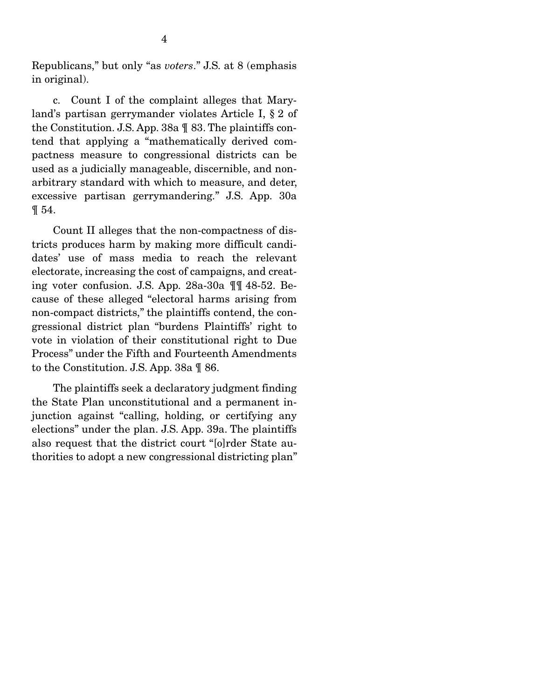Republicans," but only "as *voters*." J.S. at 8 (emphasis in original).

 c. Count I of the complaint alleges that Maryland's partisan gerrymander violates Article I, § 2 of the Constitution. J.S. App. 38a ¶ 83. The plaintiffs contend that applying a "mathematically derived compactness measure to congressional districts can be used as a judicially manageable, discernible, and nonarbitrary standard with which to measure, and deter, excessive partisan gerrymandering." J.S. App. 30a ¶ 54.

 Count II alleges that the non-compactness of districts produces harm by making more difficult candidates' use of mass media to reach the relevant electorate, increasing the cost of campaigns, and creating voter confusion. J.S. App. 28a-30a ¶¶ 48-52. Because of these alleged "electoral harms arising from non-compact districts," the plaintiffs contend, the congressional district plan "burdens Plaintiffs' right to vote in violation of their constitutional right to Due Process" under the Fifth and Fourteenth Amendments to the Constitution. J.S. App. 38a ¶ 86.

 The plaintiffs seek a declaratory judgment finding the State Plan unconstitutional and a permanent injunction against "calling, holding, or certifying any elections" under the plan. J.S. App. 39a. The plaintiffs also request that the district court "[o]rder State authorities to adopt a new congressional districting plan"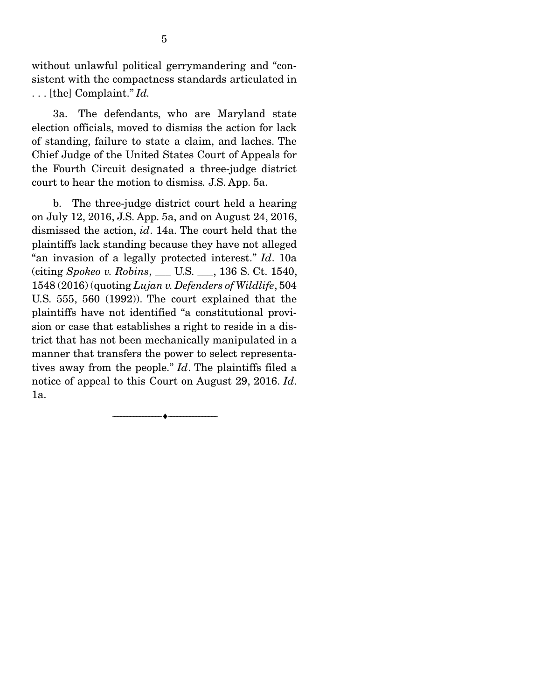without unlawful political gerrymandering and "consistent with the compactness standards articulated in . . . [the] Complaint." *Id.*

 3a. The defendants, who are Maryland state election officials, moved to dismiss the action for lack of standing, failure to state a claim, and laches. The Chief Judge of the United States Court of Appeals for the Fourth Circuit designated a three-judge district court to hear the motion to dismiss*.* J.S. App. 5a.

 b. The three-judge district court held a hearing on July 12, 2016, J.S. App. 5a, and on August 24, 2016, dismissed the action, *id*. 14a. The court held that the plaintiffs lack standing because they have not alleged "an invasion of a legally protected interest." *Id*. 10a (citing *Spokeo v. Robins*, \_\_\_ U.S. \_\_\_, 136 S. Ct. 1540, 1548 (2016) (quoting *Lujan v. Defenders of Wildlife*, 504 U.S. 555, 560 (1992)). The court explained that the plaintiffs have not identified "a constitutional provision or case that establishes a right to reside in a district that has not been mechanically manipulated in a manner that transfers the power to select representatives away from the people." *Id*. The plaintiffs filed a notice of appeal to this Court on August 29, 2016. *Id*. 1a.

--------------------------------- ---------------------------------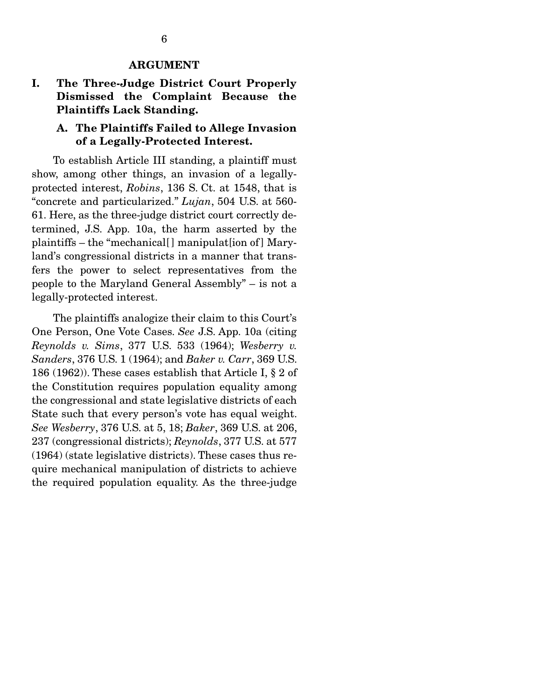#### ARGUMENT

## I. The Three-Judge District Court Properly Dismissed the Complaint Because the Plaintiffs Lack Standing.

### A. The Plaintiffs Failed to Allege Invasion of a Legally-Protected Interest.

 To establish Article III standing, a plaintiff must show, among other things, an invasion of a legallyprotected interest, *Robins*, 136 S. Ct. at 1548, that is "concrete and particularized." *Lujan*, 504 U.S. at 560- 61. Here, as the three-judge district court correctly determined, J.S. App. 10a, the harm asserted by the plaintiffs – the "mechanical[ ] manipulat[ion of ] Maryland's congressional districts in a manner that transfers the power to select representatives from the people to the Maryland General Assembly" – is not a legally-protected interest.

 The plaintiffs analogize their claim to this Court's One Person, One Vote Cases. *See* J.S. App. 10a (citing *Reynolds v. Sims*, 377 U.S. 533 (1964); *Wesberry v. Sanders*, 376 U.S. 1 (1964); and *Baker v. Carr*, 369 U.S. 186 (1962)). These cases establish that Article I, § 2 of the Constitution requires population equality among the congressional and state legislative districts of each State such that every person's vote has equal weight. *See Wesberry*, 376 U.S. at 5, 18; *Baker*, 369 U.S. at 206, 237 (congressional districts); *Reynolds*, 377 U.S. at 577 (1964) (state legislative districts). These cases thus require mechanical manipulation of districts to achieve the required population equality. As the three-judge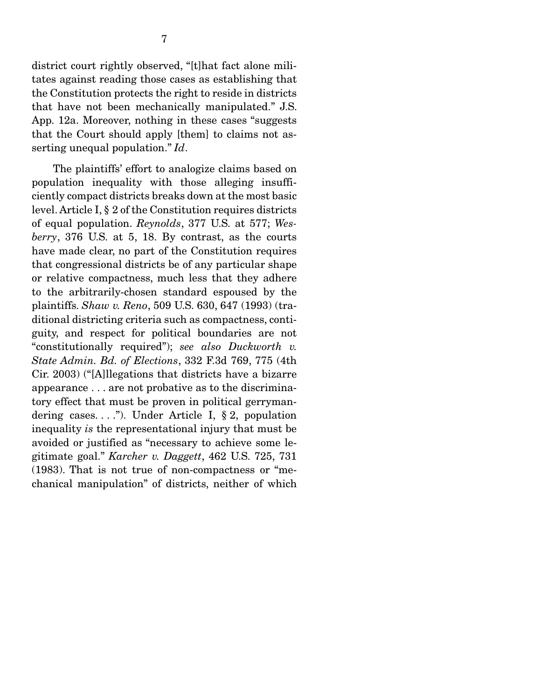district court rightly observed, "[t]hat fact alone militates against reading those cases as establishing that the Constitution protects the right to reside in districts that have not been mechanically manipulated." J.S. App. 12a. Moreover, nothing in these cases "suggests that the Court should apply [them] to claims not asserting unequal population." *Id*.

 The plaintiffs' effort to analogize claims based on population inequality with those alleging insufficiently compact districts breaks down at the most basic level. Article I, § 2 of the Constitution requires districts of equal population. *Reynolds*, 377 U.S. at 577; *Wesberry*, 376 U.S. at 5, 18. By contrast, as the courts have made clear, no part of the Constitution requires that congressional districts be of any particular shape or relative compactness, much less that they adhere to the arbitrarily-chosen standard espoused by the plaintiffs. *Shaw v. Reno*, 509 U.S. 630, 647 (1993) (traditional districting criteria such as compactness, contiguity, and respect for political boundaries are not "constitutionally required"); *see also Duckworth v. State Admin. Bd. of Elections*, 332 F.3d 769, 775 (4th Cir. 2003) ("[A]llegations that districts have a bizarre appearance . . . are not probative as to the discriminatory effect that must be proven in political gerrymandering cases...."). Under Article I,  $\S 2$ , population inequality *is* the representational injury that must be avoided or justified as "necessary to achieve some legitimate goal." *Karcher v. Daggett*, 462 U.S. 725, 731 (1983). That is not true of non-compactness or "mechanical manipulation" of districts, neither of which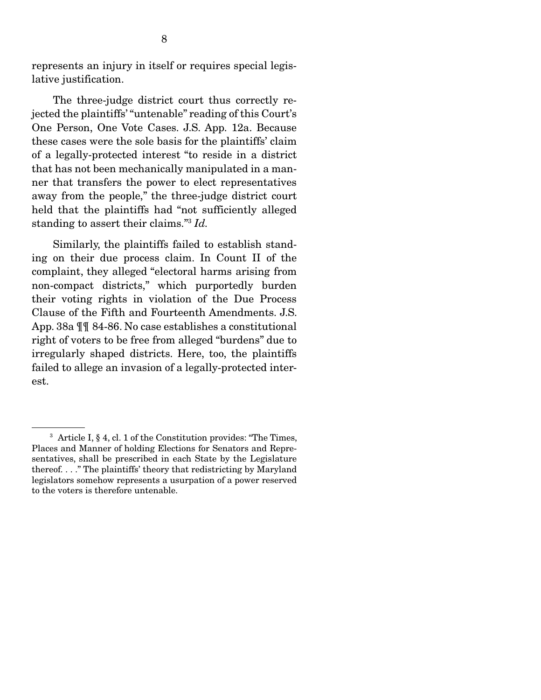represents an injury in itself or requires special legislative justification.

 The three-judge district court thus correctly rejected the plaintiffs' "untenable" reading of this Court's One Person, One Vote Cases. J.S. App. 12a. Because these cases were the sole basis for the plaintiffs' claim of a legally-protected interest "to reside in a district that has not been mechanically manipulated in a manner that transfers the power to elect representatives away from the people," the three-judge district court held that the plaintiffs had "not sufficiently alleged standing to assert their claims."3 *Id.*

 Similarly, the plaintiffs failed to establish standing on their due process claim. In Count II of the complaint, they alleged "electoral harms arising from non-compact districts," which purportedly burden their voting rights in violation of the Due Process Clause of the Fifth and Fourteenth Amendments. J.S. App. 38a ¶¶ 84-86. No case establishes a constitutional right of voters to be free from alleged "burdens" due to irregularly shaped districts. Here, too, the plaintiffs failed to allege an invasion of a legally-protected interest.

<sup>3</sup> Article I, § 4, cl. 1 of the Constitution provides: "The Times, Places and Manner of holding Elections for Senators and Representatives, shall be prescribed in each State by the Legislature thereof. . . ." The plaintiffs' theory that redistricting by Maryland legislators somehow represents a usurpation of a power reserved to the voters is therefore untenable.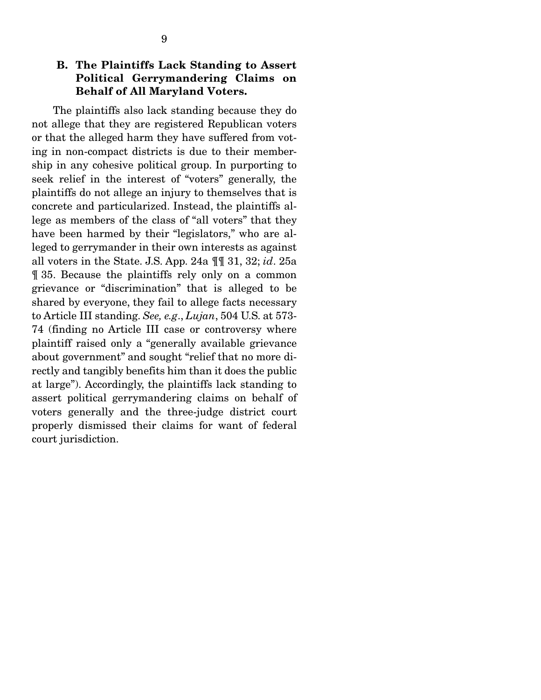## B. The Plaintiffs Lack Standing to Assert Political Gerrymandering Claims on Behalf of All Maryland Voters.

 The plaintiffs also lack standing because they do not allege that they are registered Republican voters or that the alleged harm they have suffered from voting in non-compact districts is due to their membership in any cohesive political group. In purporting to seek relief in the interest of "voters" generally, the plaintiffs do not allege an injury to themselves that is concrete and particularized. Instead, the plaintiffs allege as members of the class of "all voters" that they have been harmed by their "legislators," who are alleged to gerrymander in their own interests as against all voters in the State. J.S. App. 24a ¶¶ 31, 32; *id*. 25a ¶ 35. Because the plaintiffs rely only on a common grievance or "discrimination" that is alleged to be shared by everyone, they fail to allege facts necessary to Article III standing. *See, e.g*., *Lujan*, 504 U.S. at 573- 74 (finding no Article III case or controversy where plaintiff raised only a "generally available grievance about government" and sought "relief that no more directly and tangibly benefits him than it does the public at large"). Accordingly, the plaintiffs lack standing to assert political gerrymandering claims on behalf of voters generally and the three-judge district court properly dismissed their claims for want of federal court jurisdiction.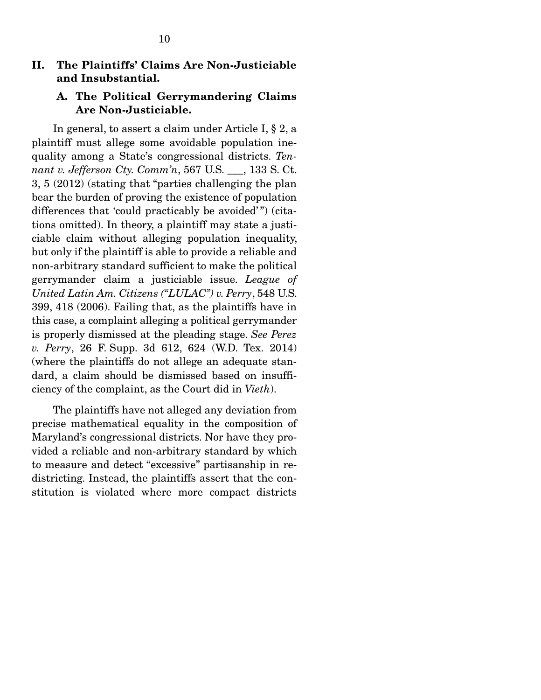### II. The Plaintiffs' Claims Are Non-Justiciable and Insubstantial.

### A. The Political Gerrymandering Claims Are Non-Justiciable.

 In general, to assert a claim under Article I, § 2, a plaintiff must allege some avoidable population inequality among a State's congressional districts. *Tennant v. Jefferson Cty. Comm'n*, 567 U.S. \_\_\_, 133 S. Ct. 3, 5 (2012) (stating that "parties challenging the plan bear the burden of proving the existence of population differences that 'could practicably be avoided'") (citations omitted). In theory, a plaintiff may state a justiciable claim without alleging population inequality, but only if the plaintiff is able to provide a reliable and non-arbitrary standard sufficient to make the political gerrymander claim a justiciable issue. *League of United Latin Am. Citizens ("LULAC") v. Perry*, 548 U.S. 399, 418 (2006). Failing that, as the plaintiffs have in this case, a complaint alleging a political gerrymander is properly dismissed at the pleading stage. *See Perez v. Perry*, 26 F. Supp. 3d 612, 624 (W.D. Tex. 2014) (where the plaintiffs do not allege an adequate standard, a claim should be dismissed based on insufficiency of the complaint, as the Court did in *Vieth*).

 The plaintiffs have not alleged any deviation from precise mathematical equality in the composition of Maryland's congressional districts. Nor have they provided a reliable and non-arbitrary standard by which to measure and detect "excessive" partisanship in redistricting. Instead, the plaintiffs assert that the constitution is violated where more compact districts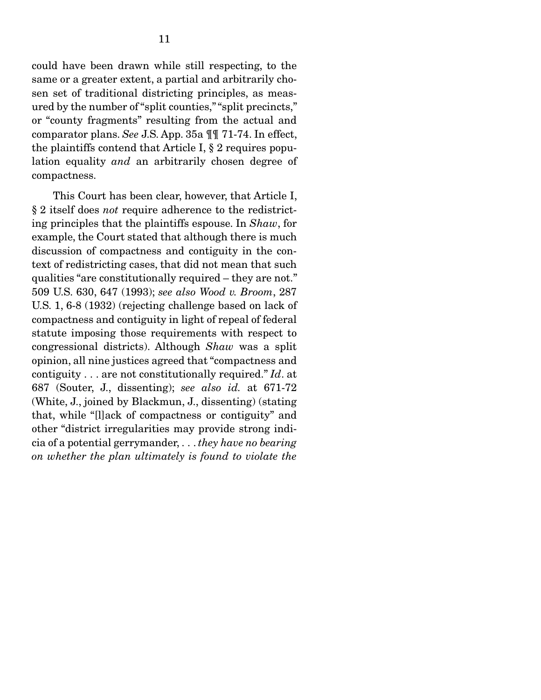could have been drawn while still respecting, to the same or a greater extent, a partial and arbitrarily chosen set of traditional districting principles, as measured by the number of "split counties," "split precincts," or "county fragments" resulting from the actual and comparator plans. *See* J.S. App. 35a ¶¶ 71-74. In effect, the plaintiffs contend that Article I, § 2 requires population equality *and* an arbitrarily chosen degree of compactness.

 This Court has been clear, however, that Article I, § 2 itself does *not* require adherence to the redistricting principles that the plaintiffs espouse. In *Shaw*, for example, the Court stated that although there is much discussion of compactness and contiguity in the context of redistricting cases, that did not mean that such qualities "are constitutionally required – they are not." 509 U.S. 630, 647 (1993); *see also Wood v. Broom*, 287 U.S. 1, 6-8 (1932) (rejecting challenge based on lack of compactness and contiguity in light of repeal of federal statute imposing those requirements with respect to congressional districts). Although *Shaw* was a split opinion, all nine justices agreed that "compactness and contiguity . . . are not constitutionally required." *Id*. at 687 (Souter, J., dissenting); *see also id.* at 671-72 (White, J., joined by Blackmun, J., dissenting) (stating that, while "[l]ack of compactness or contiguity" and other "district irregularities may provide strong indicia of a potential gerrymander, . . . *they have no bearing on whether the plan ultimately is found to violate the*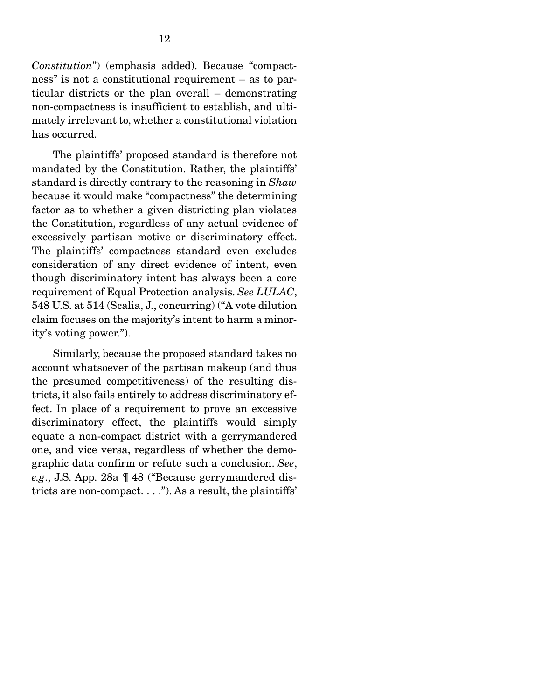*Constitution*") (emphasis added). Because "compactness" is not a constitutional requirement – as to particular districts or the plan overall – demonstrating non-compactness is insufficient to establish, and ultimately irrelevant to, whether a constitutional violation has occurred.

 The plaintiffs' proposed standard is therefore not mandated by the Constitution. Rather, the plaintiffs' standard is directly contrary to the reasoning in *Shaw* because it would make "compactness" the determining factor as to whether a given districting plan violates the Constitution, regardless of any actual evidence of excessively partisan motive or discriminatory effect. The plaintiffs' compactness standard even excludes consideration of any direct evidence of intent, even though discriminatory intent has always been a core requirement of Equal Protection analysis. *See LULAC*, 548 U.S. at 514 (Scalia, J., concurring) ("A vote dilution claim focuses on the majority's intent to harm a minority's voting power.").

 Similarly, because the proposed standard takes no account whatsoever of the partisan makeup (and thus the presumed competitiveness) of the resulting districts, it also fails entirely to address discriminatory effect. In place of a requirement to prove an excessive discriminatory effect, the plaintiffs would simply equate a non-compact district with a gerrymandered one, and vice versa, regardless of whether the demographic data confirm or refute such a conclusion. *See*, *e.g*., J.S. App. 28a ¶ 48 ("Because gerrymandered districts are non-compact. . . ."). As a result, the plaintiffs'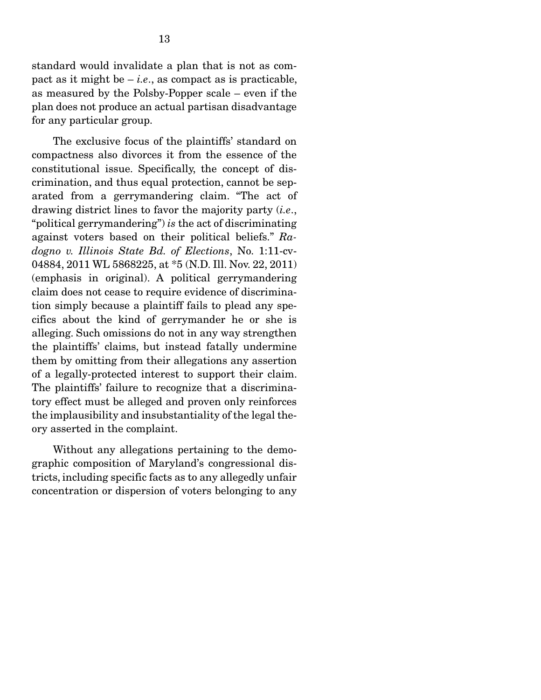standard would invalidate a plan that is not as compact as it might be  $-i.e.,$  as compact as is practicable, as measured by the Polsby-Popper scale – even if the plan does not produce an actual partisan disadvantage for any particular group.

 The exclusive focus of the plaintiffs' standard on compactness also divorces it from the essence of the constitutional issue. Specifically, the concept of discrimination, and thus equal protection, cannot be separated from a gerrymandering claim. "The act of drawing district lines to favor the majority party (*i.e*., "political gerrymandering") *is* the act of discriminating against voters based on their political beliefs." *Radogno v. Illinois State Bd. of Elections*, No. 1:11-cv-04884, 2011 WL 5868225, at \*5 (N.D. Ill. Nov. 22, 2011) (emphasis in original). A political gerrymandering claim does not cease to require evidence of discrimination simply because a plaintiff fails to plead any specifics about the kind of gerrymander he or she is alleging. Such omissions do not in any way strengthen the plaintiffs' claims, but instead fatally undermine them by omitting from their allegations any assertion of a legally-protected interest to support their claim. The plaintiffs' failure to recognize that a discriminatory effect must be alleged and proven only reinforces the implausibility and insubstantiality of the legal theory asserted in the complaint.

 Without any allegations pertaining to the demographic composition of Maryland's congressional districts, including specific facts as to any allegedly unfair concentration or dispersion of voters belonging to any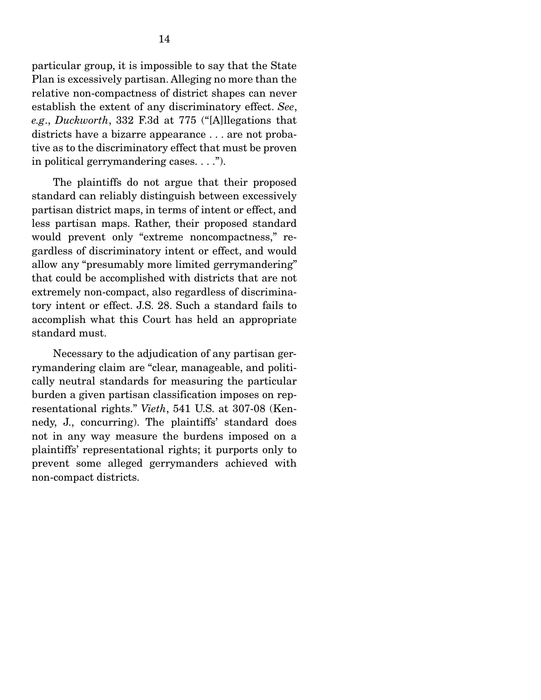particular group, it is impossible to say that the State Plan is excessively partisan. Alleging no more than the relative non-compactness of district shapes can never establish the extent of any discriminatory effect. *See*, *e.g*., *Duckworth*, 332 F.3d at 775 ("[A]llegations that districts have a bizarre appearance . . . are not probative as to the discriminatory effect that must be proven in political gerrymandering cases. . . .").

 The plaintiffs do not argue that their proposed standard can reliably distinguish between excessively partisan district maps, in terms of intent or effect, and less partisan maps. Rather, their proposed standard would prevent only "extreme noncompactness," regardless of discriminatory intent or effect, and would allow any "presumably more limited gerrymandering" that could be accomplished with districts that are not extremely non-compact, also regardless of discriminatory intent or effect. J.S. 28. Such a standard fails to accomplish what this Court has held an appropriate standard must.

 Necessary to the adjudication of any partisan gerrymandering claim are "clear, manageable, and politically neutral standards for measuring the particular burden a given partisan classification imposes on representational rights." *Vieth*, 541 U.S. at 307-08 (Kennedy, J., concurring). The plaintiffs' standard does not in any way measure the burdens imposed on a plaintiffs' representational rights; it purports only to prevent some alleged gerrymanders achieved with non-compact districts.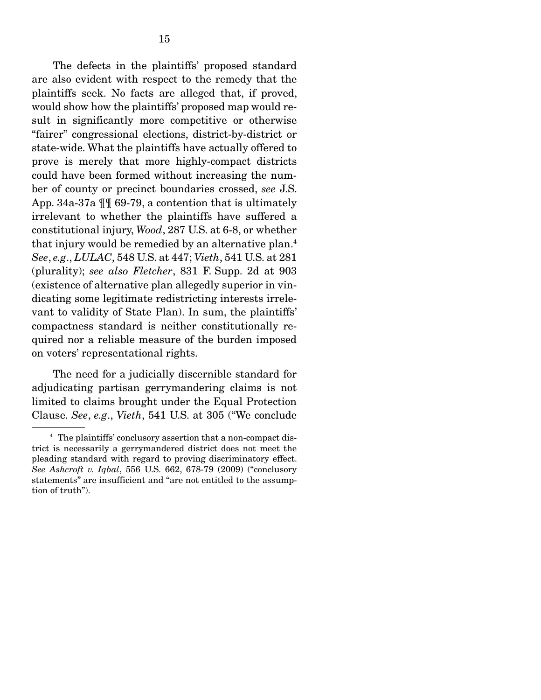The defects in the plaintiffs' proposed standard are also evident with respect to the remedy that the plaintiffs seek. No facts are alleged that, if proved, would show how the plaintiffs' proposed map would result in significantly more competitive or otherwise "fairer" congressional elections, district-by-district or state-wide. What the plaintiffs have actually offered to prove is merely that more highly-compact districts could have been formed without increasing the number of county or precinct boundaries crossed, *see* J.S. App. 34a-37a ¶¶ 69-79, a contention that is ultimately irrelevant to whether the plaintiffs have suffered a constitutional injury, *Wood*, 287 U.S. at 6-8, or whether that injury would be remedied by an alternative plan.4 *See*, *e.g*., *LULAC*, 548 U.S. at 447; *Vieth*, 541 U.S. at 281 (plurality); *see also Fletcher*, 831 F. Supp. 2d at 903 (existence of alternative plan allegedly superior in vindicating some legitimate redistricting interests irrelevant to validity of State Plan). In sum, the plaintiffs' compactness standard is neither constitutionally required nor a reliable measure of the burden imposed on voters' representational rights.

 The need for a judicially discernible standard for adjudicating partisan gerrymandering claims is not limited to claims brought under the Equal Protection Clause. *See*, *e.g*., *Vieth*, 541 U.S. at 305 ("We conclude

<sup>4</sup> The plaintiffs' conclusory assertion that a non-compact district is necessarily a gerrymandered district does not meet the pleading standard with regard to proving discriminatory effect. *See Ashcroft v. Iqbal*, 556 U.S. 662, 678-79 (2009) ("conclusory statements" are insufficient and "are not entitled to the assumption of truth").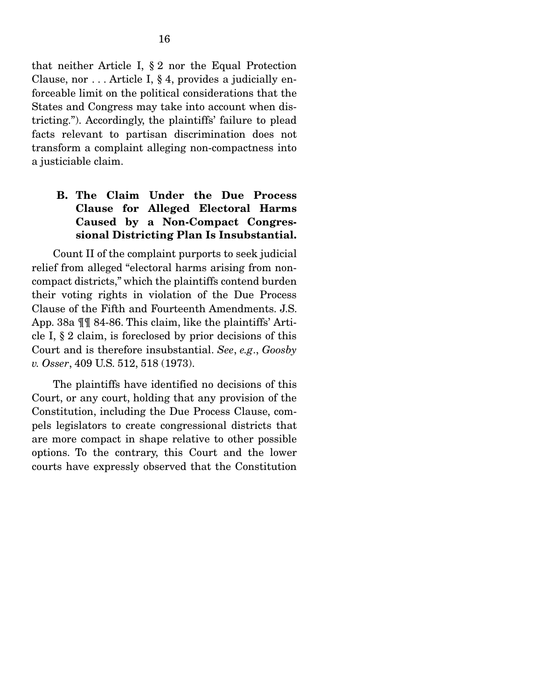that neither Article I, § 2 nor the Equal Protection Clause, nor . . . Article I, § 4, provides a judicially enforceable limit on the political considerations that the States and Congress may take into account when districting."). Accordingly, the plaintiffs' failure to plead facts relevant to partisan discrimination does not transform a complaint alleging non-compactness into a justiciable claim.

## B. The Claim Under the Due Process Clause for Alleged Electoral Harms Caused by a Non-Compact Congressional Districting Plan Is Insubstantial.

 Count II of the complaint purports to seek judicial relief from alleged "electoral harms arising from noncompact districts," which the plaintiffs contend burden their voting rights in violation of the Due Process Clause of the Fifth and Fourteenth Amendments. J.S. App. 38a ¶¶ 84-86. This claim, like the plaintiffs' Article I, § 2 claim, is foreclosed by prior decisions of this Court and is therefore insubstantial. *See*, *e.g*., *Goosby v. Osser*, 409 U.S. 512, 518 (1973).

 The plaintiffs have identified no decisions of this Court, or any court, holding that any provision of the Constitution, including the Due Process Clause, compels legislators to create congressional districts that are more compact in shape relative to other possible options. To the contrary, this Court and the lower courts have expressly observed that the Constitution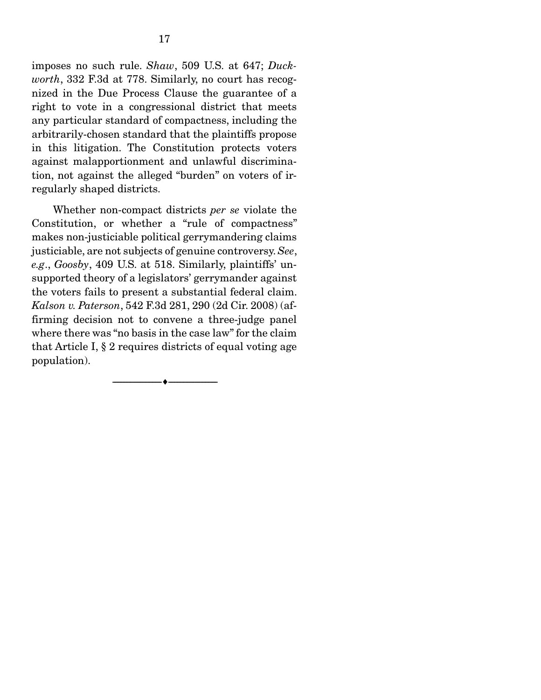imposes no such rule. *Shaw*, 509 U.S. at 647; *Duckworth*, 332 F.3d at 778. Similarly, no court has recognized in the Due Process Clause the guarantee of a right to vote in a congressional district that meets any particular standard of compactness, including the arbitrarily-chosen standard that the plaintiffs propose in this litigation. The Constitution protects voters against malapportionment and unlawful discrimination, not against the alleged "burden" on voters of irregularly shaped districts.

 Whether non-compact districts *per se* violate the Constitution, or whether a "rule of compactness" makes non-justiciable political gerrymandering claims justiciable, are not subjects of genuine controversy. *See*, *e.g*., *Goosby*, 409 U.S. at 518. Similarly, plaintiffs' unsupported theory of a legislators' gerrymander against the voters fails to present a substantial federal claim. *Kalson v. Paterson*, 542 F.3d 281, 290 (2d Cir. 2008) (affirming decision not to convene a three-judge panel where there was "no basis in the case law" for the claim that Article I, § 2 requires districts of equal voting age population).

--------------------------------- ---------------------------------